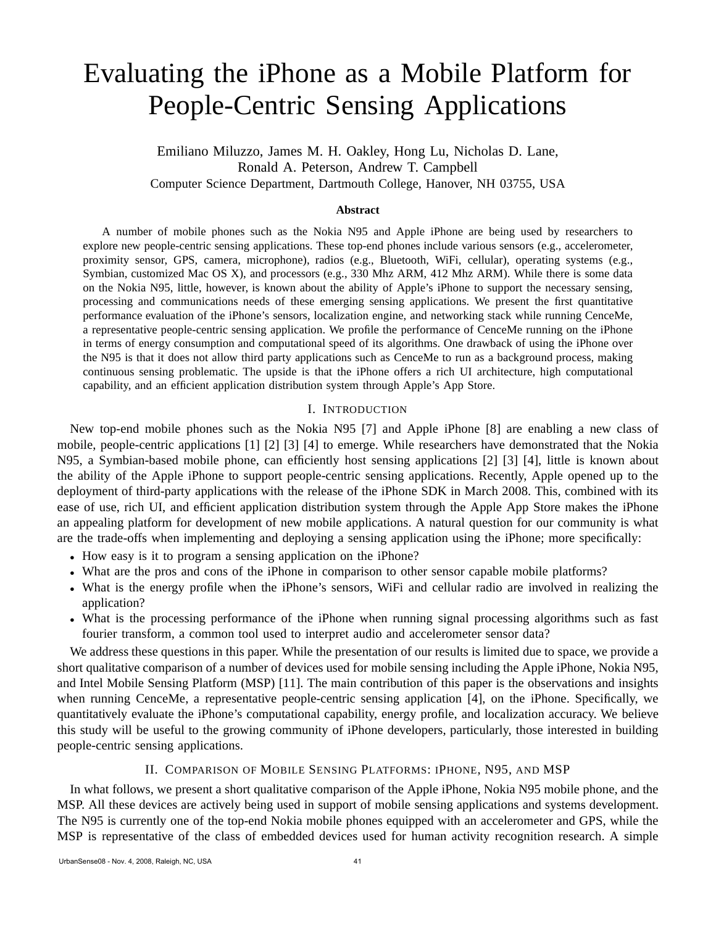# Evaluating the iPhone as a Mobile Platform for People-Centric Sensing Applications

Emiliano Miluzzo, James M. H. Oakley, Hong Lu, Nicholas D. Lane, Ronald A. Peterson, Andrew T. Campbell Computer Science Department, Dartmouth College, Hanover, NH 03755, USA

#### **Abstract**

A number of mobile phones such as the Nokia N95 and Apple iPhone are being used by researchers to explore new people-centric sensing applications. These top-end phones include various sensors (e.g., accelerometer, proximity sensor, GPS, camera, microphone), radios (e.g., Bluetooth, WiFi, cellular), operating systems (e.g., Symbian, customized Mac OS X), and processors (e.g., 330 Mhz ARM, 412 Mhz ARM). While there is some data on the Nokia N95, little, however, is known about the ability of Apple's iPhone to support the necessary sensing, processing and communications needs of these emerging sensing applications. We present the first quantitative performance evaluation of the iPhone's sensors, localization engine, and networking stack while running CenceMe, a representative people-centric sensing application. We profile the performance of CenceMe running on the iPhone in terms of energy consumption and computational speed of its algorithms. One drawback of using the iPhone over the N95 is that it does not allow third party applications such as CenceMe to run as a background process, making continuous sensing problematic. The upside is that the iPhone offers a rich UI architecture, high computational capability, and an efficient application distribution system through Apple's App Store.

### I. INTRODUCTION

New top-end mobile phones such as the Nokia N95 [7] and Apple iPhone [8] are enabling a new class of mobile, people-centric applications [1] [2] [3] [4] to emerge. While researchers have demonstrated that the Nokia N95, a Symbian-based mobile phone, can efficiently host sensing applications [2] [3] [4], little is known about the ability of the Apple iPhone to support people-centric sensing applications. Recently, Apple opened up to the deployment of third-party applications with the release of the iPhone SDK in March 2008. This, combined with its ease of use, rich UI, and efficient application distribution system through the Apple App Store makes the iPhone an appealing platform for development of new mobile applications. A natural question for our community is what are the trade-offs when implementing and deploying a sensing application using the iPhone; more specifically:

- How easy is it to program a sensing application on the iPhone?
- What are the pros and cons of the iPhone in comparison to other sensor capable mobile platforms?
- What is the energy profile when the iPhone's sensors, WiFi and cellular radio are involved in realizing the application?
- What is the processing performance of the iPhone when running signal processing algorithms such as fast fourier transform, a common tool used to interpret audio and accelerometer sensor data?

We address these questions in this paper. While the presentation of our results is limited due to space, we provide a short qualitative comparison of a number of devices used for mobile sensing including the Apple iPhone, Nokia N95, and Intel Mobile Sensing Platform (MSP) [11]. The main contribution of this paper is the observations and insights when running CenceMe, a representative people-centric sensing application [4], on the iPhone. Specifically, we quantitatively evaluate the iPhone's computational capability, energy profile, and localization accuracy. We believe this study will be useful to the growing community of iPhone developers, particularly, those interested in building people-centric sensing applications.

# II. COMPARISON OF MOBILE SENSING PLATFORMS: IPHONE, N95, AND MSP

In what follows, we present a short qualitative comparison of the Apple iPhone, Nokia N95 mobile phone, and the MSP. All these devices are actively being used in support of mobile sensing applications and systems development. The N95 is currently one of the top-end Nokia mobile phones equipped with an accelerometer and GPS, while the MSP is representative of the class of embedded devices used for human activity recognition research. A simple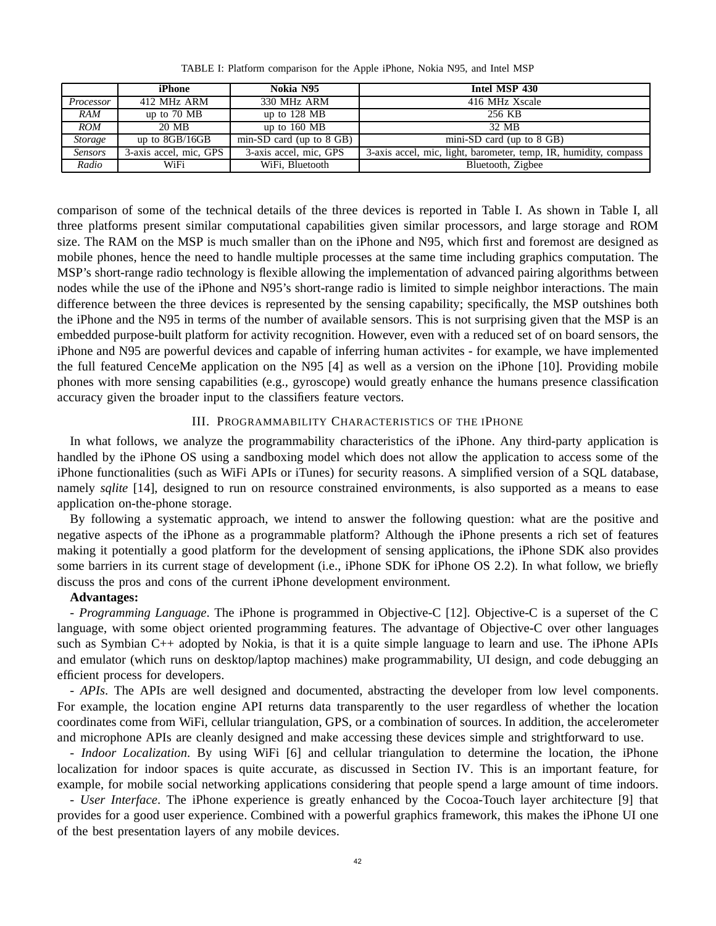|                | iPhone                 | Nokia N95                  | Intel MSP 430                                                    |  |
|----------------|------------------------|----------------------------|------------------------------------------------------------------|--|
| Processor      | 412 MHz ARM            | 330 MHz ARM                | 416 MHz Xscale                                                   |  |
| RAM            | up to $70 \text{ MB}$  | up to $128$ MB             | 256 KB                                                           |  |
| <b>ROM</b>     | 20 MB                  | up to $160$ MB             | 32. MB                                                           |  |
| <b>Storage</b> | up to $8GB/16GB$       | min-SD card (up to $8$ GB) | mini-SD card (up to $8$ GB)                                      |  |
| <b>Sensors</b> | 3-axis accel, mic, GPS | 3-axis accel, mic, GPS     | 3-axis accel, mic, light, barometer, temp, IR, humidity, compass |  |
| Radio          | WiFi                   | WiFi, Bluetooth            | Bluetooth, Zigbee                                                |  |

TABLE I: Platform comparison for the Apple iPhone, Nokia N95, and Intel MSP

comparison of some of the technical details of the three devices is reported in Table I. As shown in Table I, all three platforms present similar computational capabilities given similar processors, and large storage and ROM size. The RAM on the MSP is much smaller than on the iPhone and N95, which first and foremost are designed as mobile phones, hence the need to handle multiple processes at the same time including graphics computation. The MSP's short-range radio technology is flexible allowing the implementation of advanced pairing algorithms between nodes while the use of the iPhone and N95's short-range radio is limited to simple neighbor interactions. The main difference between the three devices is represented by the sensing capability; specifically, the MSP outshines both the iPhone and the N95 in terms of the number of available sensors. This is not surprising given that the MSP is an embedded purpose-built platform for activity recognition. However, even with a reduced set of on board sensors, the iPhone and N95 are powerful devices and capable of inferring human activites - for example, we have implemented the full featured CenceMe application on the N95 [4] as well as a version on the iPhone [10]. Providing mobile phones with more sensing capabilities (e.g., gyroscope) would greatly enhance the humans presence classification accuracy given the broader input to the classifiers feature vectors.

#### III. PROGRAMMABILITY CHARACTERISTICS OF THE IPHONE

In what follows, we analyze the programmability characteristics of the iPhone. Any third-party application is handled by the iPhone OS using a sandboxing model which does not allow the application to access some of the iPhone functionalities (such as WiFi APIs or iTunes) for security reasons. A simplified version of a SQL database, namely *sqlite* [14], designed to run on resource constrained environments, is also supported as a means to ease application on-the-phone storage.

By following a systematic approach, we intend to answer the following question: what are the positive and negative aspects of the iPhone as a programmable platform? Although the iPhone presents a rich set of features making it potentially a good platform for the development of sensing applications, the iPhone SDK also provides some barriers in its current stage of development (i.e., iPhone SDK for iPhone OS 2.2). In what follow, we briefly discuss the pros and cons of the current iPhone development environment.

# **Advantages:**

*- Programming Language*. The iPhone is programmed in Objective-C [12]. Objective-C is a superset of the C language, with some object oriented programming features. The advantage of Objective-C over other languages such as Symbian C++ adopted by Nokia, is that it is a quite simple language to learn and use. The iPhone APIs and emulator (which runs on desktop/laptop machines) make programmability, UI design, and code debugging an efficient process for developers.

*- APIs*. The APIs are well designed and documented, abstracting the developer from low level components. For example, the location engine API returns data transparently to the user regardless of whether the location coordinates come from WiFi, cellular triangulation, GPS, or a combination of sources. In addition, the accelerometer and microphone APIs are cleanly designed and make accessing these devices simple and strightforward to use.

*- Indoor Localization*. By using WiFi [6] and cellular triangulation to determine the location, the iPhone localization for indoor spaces is quite accurate, as discussed in Section IV. This is an important feature, for example, for mobile social networking applications considering that people spend a large amount of time indoors.

*- User Interface*. The iPhone experience is greatly enhanced by the Cocoa-Touch layer architecture [9] that provides for a good user experience. Combined with a powerful graphics framework, this makes the iPhone UI one of the best presentation layers of any mobile devices.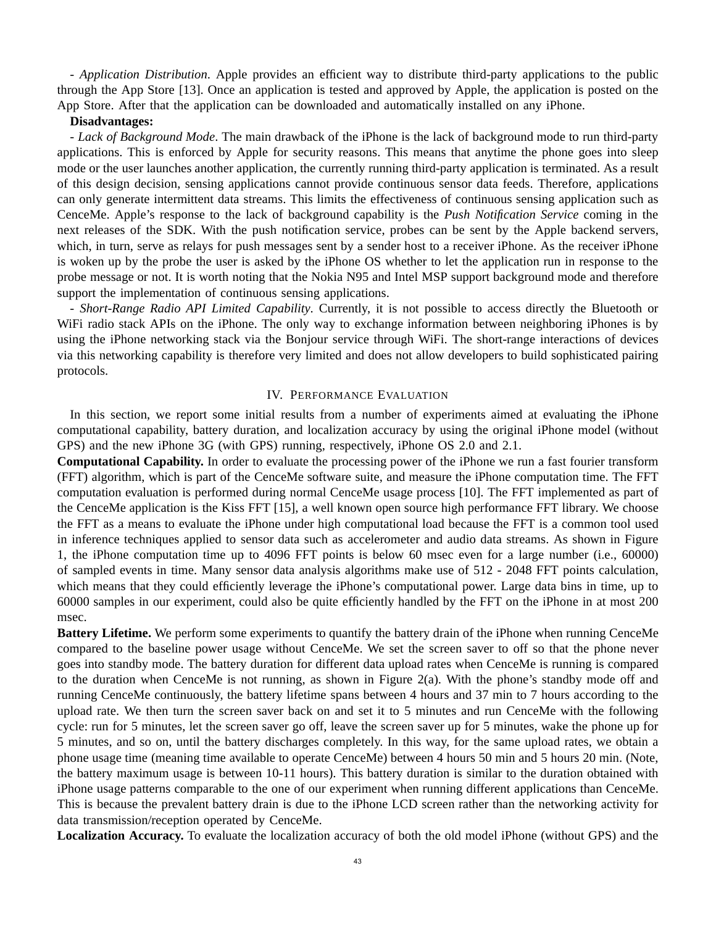*- Application Distribution*. Apple provides an efficient way to distribute third-party applications to the public through the App Store [13]. Once an application is tested and approved by Apple, the application is posted on the App Store. After that the application can be downloaded and automatically installed on any iPhone.

# **Disadvantages:**

*- Lack of Background Mode*. The main drawback of the iPhone is the lack of background mode to run third-party applications. This is enforced by Apple for security reasons. This means that anytime the phone goes into sleep mode or the user launches another application, the currently running third-party application is terminated. As a result of this design decision, sensing applications cannot provide continuous sensor data feeds. Therefore, applications can only generate intermittent data streams. This limits the effectiveness of continuous sensing application such as CenceMe. Apple's response to the lack of background capability is the *Push Notification Service* coming in the next releases of the SDK. With the push notification service, probes can be sent by the Apple backend servers, which, in turn, serve as relays for push messages sent by a sender host to a receiver iPhone. As the receiver iPhone is woken up by the probe the user is asked by the iPhone OS whether to let the application run in response to the probe message or not. It is worth noting that the Nokia N95 and Intel MSP support background mode and therefore support the implementation of continuous sensing applications.

*- Short-Range Radio API Limited Capability*. Currently, it is not possible to access directly the Bluetooth or WiFi radio stack APIs on the iPhone. The only way to exchange information between neighboring iPhones is by using the iPhone networking stack via the Bonjour service through WiFi. The short-range interactions of devices via this networking capability is therefore very limited and does not allow developers to build sophisticated pairing protocols.

# IV. PERFORMANCE EVALUATION

In this section, we report some initial results from a number of experiments aimed at evaluating the iPhone computational capability, battery duration, and localization accuracy by using the original iPhone model (without GPS) and the new iPhone 3G (with GPS) running, respectively, iPhone OS 2.0 and 2.1.

**Computational Capability.** In order to evaluate the processing power of the iPhone we run a fast fourier transform (FFT) algorithm, which is part of the CenceMe software suite, and measure the iPhone computation time. The FFT computation evaluation is performed during normal CenceMe usage process [10]. The FFT implemented as part of the CenceMe application is the Kiss FFT [15], a well known open source high performance FFT library. We choose the FFT as a means to evaluate the iPhone under high computational load because the FFT is a common tool used in inference techniques applied to sensor data such as accelerometer and audio data streams. As shown in Figure 1, the iPhone computation time up to 4096 FFT points is below 60 msec even for a large number (i.e., 60000) of sampled events in time. Many sensor data analysis algorithms make use of 512 - 2048 FFT points calculation, which means that they could efficiently leverage the iPhone's computational power. Large data bins in time, up to 60000 samples in our experiment, could also be quite efficiently handled by the FFT on the iPhone in at most 200 msec.

**Battery Lifetime.** We perform some experiments to quantify the battery drain of the iPhone when running CenceMe compared to the baseline power usage without CenceMe. We set the screen saver to off so that the phone never goes into standby mode. The battery duration for different data upload rates when CenceMe is running is compared to the duration when CenceMe is not running, as shown in Figure  $2(a)$ . With the phone's standby mode off and running CenceMe continuously, the battery lifetime spans between 4 hours and 37 min to 7 hours according to the upload rate. We then turn the screen saver back on and set it to 5 minutes and run CenceMe with the following cycle: run for 5 minutes, let the screen saver go off, leave the screen saver up for 5 minutes, wake the phone up for 5 minutes, and so on, until the battery discharges completely. In this way, for the same upload rates, we obtain a phone usage time (meaning time available to operate CenceMe) between 4 hours 50 min and 5 hours 20 min. (Note, the battery maximum usage is between 10-11 hours). This battery duration is similar to the duration obtained with iPhone usage patterns comparable to the one of our experiment when running different applications than CenceMe. This is because the prevalent battery drain is due to the iPhone LCD screen rather than the networking activity for data transmission/reception operated by CenceMe.

**Localization Accuracy.** To evaluate the localization accuracy of both the old model iPhone (without GPS) and the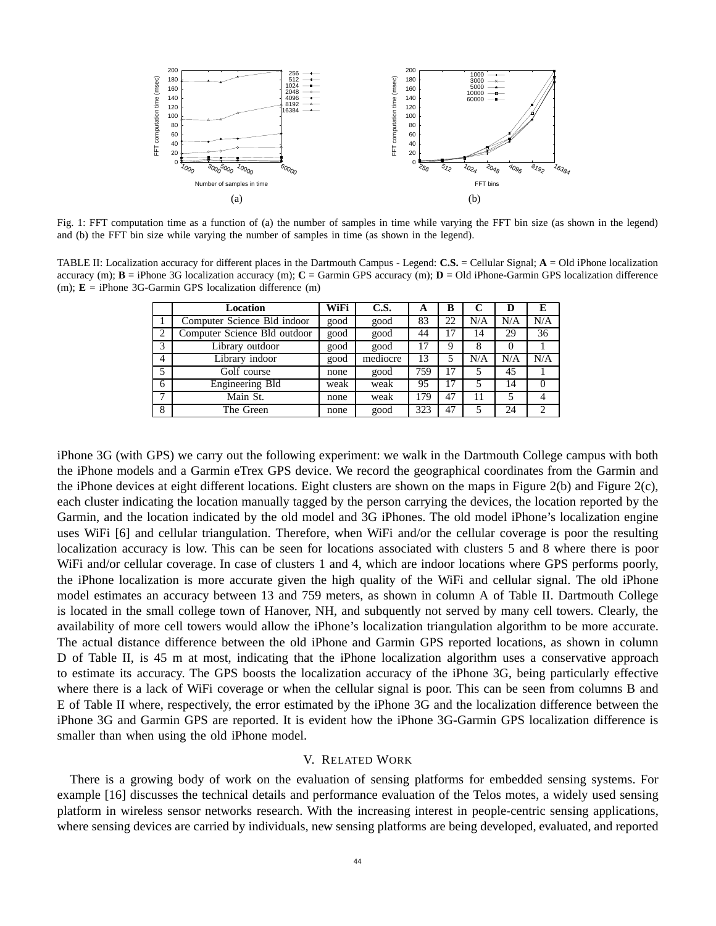

Fig. 1: FFT computation time as a function of (a) the number of samples in time while varying the FFT bin size (as shown in the legend) and (b) the FFT bin size while varying the number of samples in time (as shown in the legend).

TABLE II: Localization accuracy for different places in the Dartmouth Campus - Legend: **C.S.** = Cellular Signal; **A** = Old iPhone localization accuracy (m);  $\mathbf{B} = i$ Phone 3G localization accuracy (m);  $\mathbf{C} =$  Garmin GPS accuracy (m);  $\mathbf{D} = O$ ld iPhone-Garmin GPS localization difference (m); **E** = iPhone 3G-Garmin GPS localization difference (m)

|                | Location                     | <b>WiFi</b> | C.S.     | A   | В  | C   | D   | Е      |
|----------------|------------------------------|-------------|----------|-----|----|-----|-----|--------|
|                | Computer Science Bld indoor  | good        | good     | 83  | 22 | N/A | N/A | N/A    |
| $\overline{2}$ | Computer Science Bld outdoor | good        | good     | 44  | 17 | 14  | 29  | 36     |
| 3              | Library outdoor              | good        | good     | 17  | 9  | 8   | 0   |        |
| $\overline{4}$ | Library indoor               | good        | mediocre | 13  | 5  | N/A | N/A | N/A    |
| 5              | Golf course                  | none        | good     | 759 | 17 |     | 45  |        |
| 6              | <b>Engineering Bld</b>       | weak        | weak     | 95  | 17 | 5   | 14  | $_{0}$ |
| $\mathbf{r}$   | Main St.                     | none        | weak     | 179 | 47 | 11  | 5   |        |
| 8              | The Green                    | none        | good     | 323 | 47 |     | 24  | 2      |

iPhone 3G (with GPS) we carry out the following experiment: we walk in the Dartmouth College campus with both the iPhone models and a Garmin eTrex GPS device. We record the geographical coordinates from the Garmin and the iPhone devices at eight different locations. Eight clusters are shown on the maps in Figure 2(b) and Figure 2(c), each cluster indicating the location manually tagged by the person carrying the devices, the location reported by the Garmin, and the location indicated by the old model and 3G iPhones. The old model iPhone's localization engine uses WiFi [6] and cellular triangulation. Therefore, when WiFi and/or the cellular coverage is poor the resulting localization accuracy is low. This can be seen for locations associated with clusters 5 and 8 where there is poor WiFi and/or cellular coverage. In case of clusters 1 and 4, which are indoor locations where GPS performs poorly, the iPhone localization is more accurate given the high quality of the WiFi and cellular signal. The old iPhone model estimates an accuracy between 13 and 759 meters, as shown in column A of Table II. Dartmouth College is located in the small college town of Hanover, NH, and subquently not served by many cell towers. Clearly, the availability of more cell towers would allow the iPhone's localization triangulation algorithm to be more accurate. The actual distance difference between the old iPhone and Garmin GPS reported locations, as shown in column D of Table II, is 45 m at most, indicating that the iPhone localization algorithm uses a conservative approach to estimate its accuracy. The GPS boosts the localization accuracy of the iPhone 3G, being particularly effective where there is a lack of WiFi coverage or when the cellular signal is poor. This can be seen from columns B and E of Table II where, respectively, the error estimated by the iPhone 3G and the localization difference between the iPhone 3G and Garmin GPS are reported. It is evident how the iPhone 3G-Garmin GPS localization difference is smaller than when using the old iPhone model.

#### V. RELATED WORK

There is a growing body of work on the evaluation of sensing platforms for embedded sensing systems. For example [16] discusses the technical details and performance evaluation of the Telos motes, a widely used sensing platform in wireless sensor networks research. With the increasing interest in people-centric sensing applications, where sensing devices are carried by individuals, new sensing platforms are being developed, evaluated, and reported